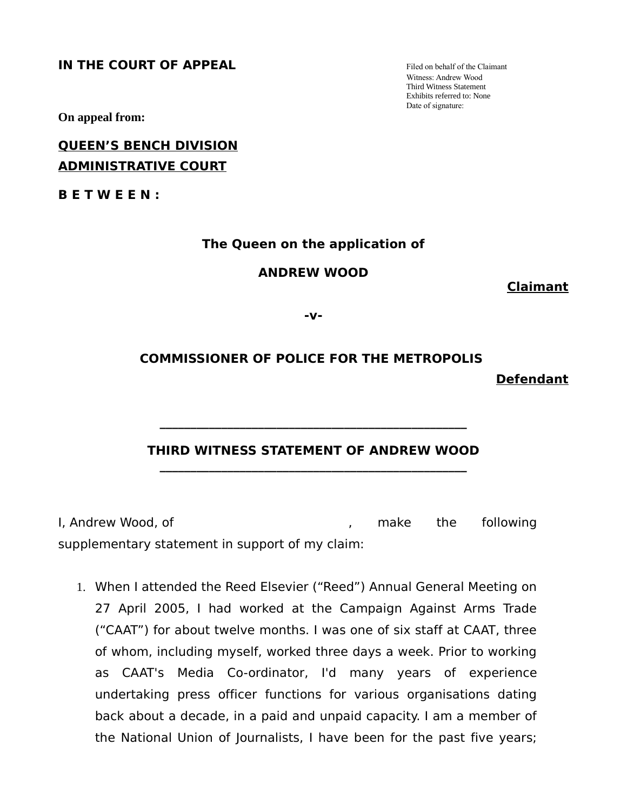**IN THE COURT OF APPEAL** Filed on behalf of the Claimant

Witness: Andrew Wood Third Witness Statement Exhibits referred to: None Date of signature:

**On appeal from:**

## **QUEEN'S BENCH DIVISION ADMINISTRATIVE COURT**

**B E T W E E N :**

### **The Queen on the application of**

### **ANDREW WOOD**

**Claimant**

**Defendant**

**-v-**

# **COMMISSIONER OF POLICE FOR THE METROPOLIS**

### **THIRD WITNESS STATEMENT OF ANDREW WOOD \_\_\_\_\_\_\_\_\_\_\_\_\_\_\_\_\_\_\_\_\_\_\_\_\_\_\_\_\_\_\_\_\_\_\_\_\_\_\_\_\_\_\_\_\_\_\_\_\_\_**

**\_\_\_\_\_\_\_\_\_\_\_\_\_\_\_\_\_\_\_\_\_\_\_\_\_\_\_\_\_\_\_\_\_\_\_\_\_\_\_\_\_\_\_\_\_\_\_\_\_\_**

I, Andrew Wood, of the same of the state of the following in the state of the state of the state of the state o supplementary statement in support of my claim:

1. When I attended the Reed Elsevier ("Reed") Annual General Meeting on 27 April 2005, I had worked at the Campaign Against Arms Trade ("CAAT") for about twelve months. I was one of six staff at CAAT, three of whom, including myself, worked three days a week. Prior to working as CAAT's Media Co-ordinator, I'd many years of experience undertaking press officer functions for various organisations dating back about a decade, in a paid and unpaid capacity. I am a member of the National Union of Journalists, I have been for the past five years;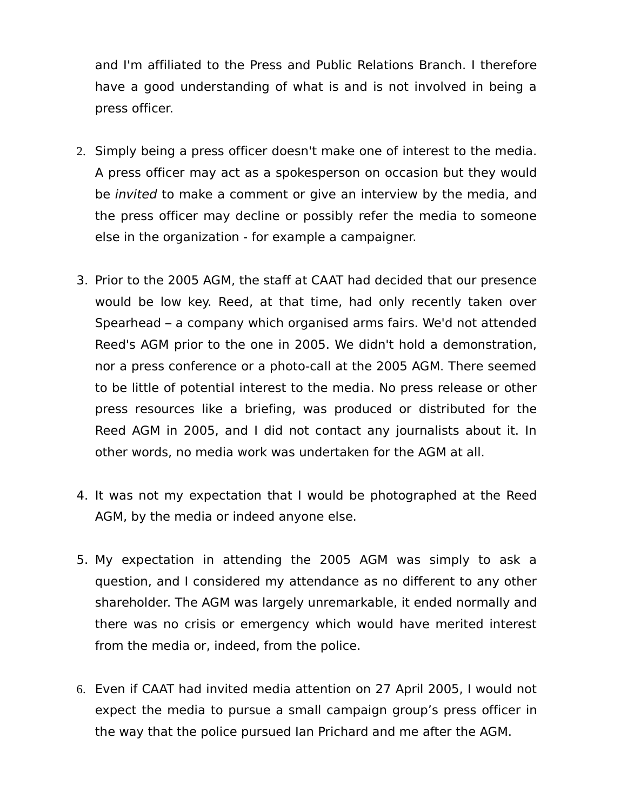and I'm affiliated to the Press and Public Relations Branch. I therefore have a good understanding of what is and is not involved in being a press officer.

- 2. Simply being a press officer doesn't make one of interest to the media. A press officer may act as a spokesperson on occasion but they would be invited to make a comment or give an interview by the media, and the press officer may decline or possibly refer the media to someone else in the organization - for example a campaigner.
- 3. Prior to the 2005 AGM, the staff at CAAT had decided that our presence would be low key. Reed, at that time, had only recently taken over Spearhead – a company which organised arms fairs. We'd not attended Reed's AGM prior to the one in 2005. We didn't hold a demonstration, nor a press conference or a photo-call at the 2005 AGM. There seemed to be little of potential interest to the media. No press release or other press resources like a briefing, was produced or distributed for the Reed AGM in 2005, and I did not contact any journalists about it. In other words, no media work was undertaken for the AGM at all.
- 4. It was not my expectation that I would be photographed at the Reed AGM, by the media or indeed anyone else.
- 5. My expectation in attending the 2005 AGM was simply to ask a question, and I considered my attendance as no different to any other shareholder. The AGM was largely unremarkable, it ended normally and there was no crisis or emergency which would have merited interest from the media or, indeed, from the police.
- 6. Even if CAAT had invited media attention on 27 April 2005, I would not expect the media to pursue a small campaign group's press officer in the way that the police pursued Ian Prichard and me after the AGM.